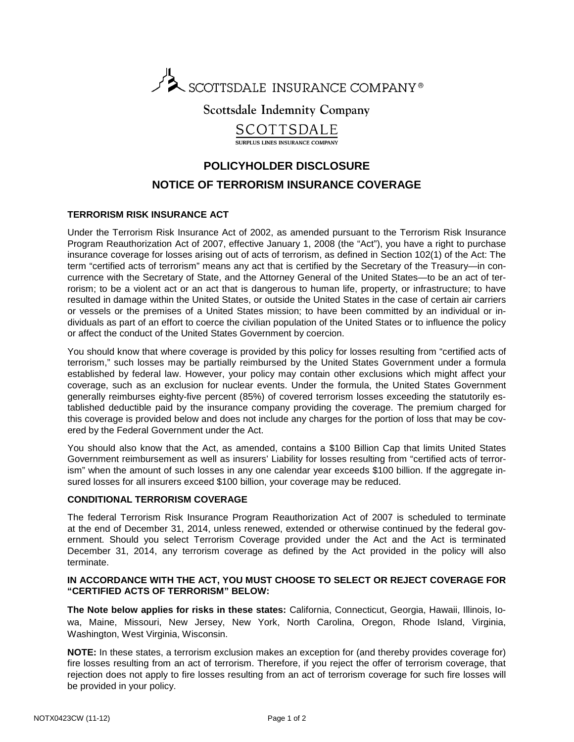

**Scottsdale Indemnity Company** 

SCOTTSDALE

SUPPLUS LINES INSURANCE COMPAN

## **POLICYHOLDER DISCLOSURE NOTICE OF TERRORISM INSURANCE COVERAGE**

## **TERRORISM RISK INSURANCE ACT**

Under the Terrorism Risk Insurance Act of 2002, as amended pursuant to the Terrorism Risk Insurance Program Reauthorization Act of 2007, effective January 1, 2008 (the "Act"), you have a right to purchase insurance coverage for losses arising out of acts of terrorism, as defined in Section 102(1) of the Act: The term "certified acts of terrorism" means any act that is certified by the Secretary of the Treasury—in concurrence with the Secretary of State, and the Attorney General of the United States—to be an act of terrorism; to be a violent act or an act that is dangerous to human life, property, or infrastructure; to have resulted in damage within the United States, or outside the United States in the case of certain air carriers or vessels or the premises of a United States mission; to have been committed by an individual or individuals as part of an effort to coerce the civilian population of the United States or to influence the policy or affect the conduct of the United States Government by coercion.

You should know that where coverage is provided by this policy for losses resulting from "certified acts of terrorism," such losses may be partially reimbursed by the United States Government under a formula established by federal law. However, your policy may contain other exclusions which might affect your coverage, such as an exclusion for nuclear events. Under the formula, the United States Government generally reimburses eighty-five percent (85%) of covered terrorism losses exceeding the statutorily established deductible paid by the insurance company providing the coverage. The premium charged for this coverage is provided below and does not include any charges for the portion of loss that may be covered by the Federal Government under the Act.

You should also know that the Act, as amended, contains a \$100 Billion Cap that limits United States Government reimbursement as well as insurers' Liability for losses resulting from "certified acts of terrorism" when the amount of such losses in any one calendar year exceeds \$100 billion. If the aggregate insured losses for all insurers exceed \$100 billion, your coverage may be reduced.

## **CONDITIONAL TERRORISM COVERAGE**

The federal Terrorism Risk Insurance Program Reauthorization Act of 2007 is scheduled to terminate at the end of December 31, 2014, unless renewed, extended or otherwise continued by the federal government. Should you select Terrorism Coverage provided under the Act and the Act is terminated December 31, 2014, any terrorism coverage as defined by the Act provided in the policy will also terminate.

## **IN ACCORDANCE WITH THE ACT, YOU MUST CHOOSE TO SELECT OR REJECT COVERAGE FOR "CERTIFIED ACTS OF TERRORISM" BELOW:**

**The Note below applies for risks in these states:** California, Connecticut, Georgia, Hawaii, Illinois, Iowa, Maine, Missouri, New Jersey, New York, North Carolina, Oregon, Rhode Island, Virginia, Washington, West Virginia, Wisconsin.

**NOTE:** In these states, a terrorism exclusion makes an exception for (and thereby provides coverage for) fire losses resulting from an act of terrorism. Therefore, if you reject the offer of terrorism coverage, that rejection does not apply to fire losses resulting from an act of terrorism coverage for such fire losses will be provided in your policy.